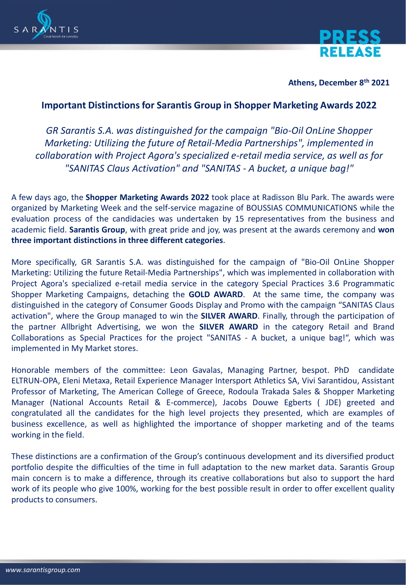



**Athens, December 8th 2021**

## **Important Distinctions for Sarantis Group in Shopper Marketing Awards 2022**

*GR Sarantis S.A. was distinguished for the campaign "Bio-Oil OnLine Shopper Marketing: Utilizing the future of Retail-Media Partnerships", implemented in collaboration with Project Agora's specialized e-retail media service, as well as for "SANITAS Claus Activation" and "SANITAS - A bucket, a unique bag!"*

A few days ago, the **Shopper Marketing Awards 2022** took place at Radisson Blu Park. The awards were organized by Marketing Week and the self-service magazine of BOUSSIAS COMMUNICATIONS while the evaluation process of the candidacies was undertaken by 15 representatives from the business and academic field. **Sarantis Group**, with great pride and joy, was present at the awards ceremony and **won three important distinctions in three different categories**.

More specifically, GR Sarantis S.A. was distinguished for the campaign of "Bio-Oil OnLine Shopper Marketing: Utilizing the future Retail-Media Partnerships", which was implemented in collaboration with Project Agora's specialized e-retail media service in the category Special Practices 3.6 Programmatic Shopper Marketing Campaigns, detaching the **GOLD AWARD**. At the same time, the company was distinguished in the category of Consumer Goods Display and Promo with the campaign "SANITAS Claus activation", where the Group managed to win the **SILVER AWARD**. Finally, through the participation of the partner Allbright Advertising, we won the **SILVER AWARD** in the category Retail and Brand Collaborations as Special Practices for the project "SANITAS - A bucket, a unique bag!", which was implemented in My Market stores.

Honorable members of the committee: Leon Gavalas, Managing Partner, bespot. PhD candidate ELTRUN-OPA, Eleni Metaxa, Retail Experience Manager Intersport Athletics SA, Vivi Sarantidou, Assistant Professor of Marketing, The American College of Greece, Rodoula Trakada Sales & Shopper Marketing Manager (National Accounts Retail & E-commerce), Jacobs Douwe Egberts ( JDE) greeted and congratulated all the candidates for the high level projects they presented, which are examples of business excellence, as well as highlighted the importance of shopper marketing and of the teams working in the field.

These distinctions are a confirmation of the Group's continuous development and its diversified product portfolio despite the difficulties of the time in full adaptation to the new market data. Sarantis Group main concern is to make a difference, through its creative collaborations but also to support the hard work of its people who give 100%, working for the best possible result in order to offer excellent quality products to consumers.